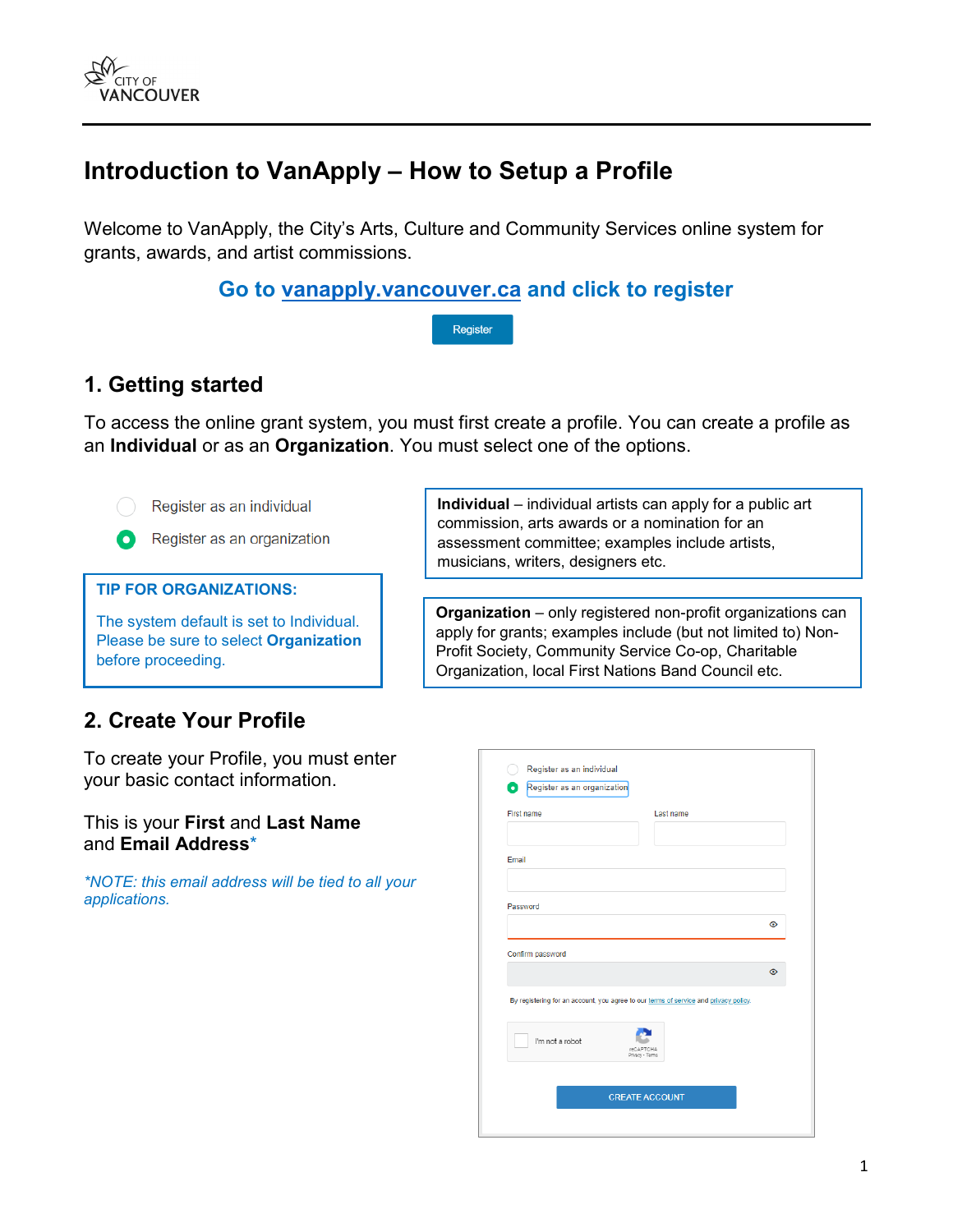

# **Introduction to VanApply – How to Setup a Profile**

Welcome to VanApply, the City's Arts, Culture and Community Services online system for grants, awards, and artist commissions.

**Go to [vanapply.vancouver.ca](https://vanapply.vancouver.ca/) and click to register**

Register

## **1. Getting started**

To access the online grant system, you must first create a profile. You can create a profile as an **Individual** or as an **Organization**. You must select one of the options.



Register as an individual



#### **TIP FOR ORGANIZATIONS:**

The system default is set to Individual. Please be sure to select **Organization** before proceeding.

**Individual** – individual artists can apply for a public art commission, arts awards or a nomination for an assessment committee; examples include artists, musicians, writers, designers etc.

**Organization** – only registered non-profit organizations can apply for grants; examples include (but not limited to) Non-Profit Society, Community Service Co-op, Charitable Organization, local First Nations Band Council etc.

### **2. Create Your Profile**

To create your Profile, you must enter your basic contact information.

#### This is your **First** and **Last Name**  and **Email Address**\*

*\*NOTE: this email address will be tied to all your applications.*

| Register as an organization |                                                                                      |         |
|-----------------------------|--------------------------------------------------------------------------------------|---------|
| <b>First name</b>           | Last name                                                                            |         |
|                             |                                                                                      |         |
| Email                       |                                                                                      |         |
|                             |                                                                                      |         |
| Password                    |                                                                                      |         |
|                             |                                                                                      |         |
|                             |                                                                                      | $\odot$ |
|                             |                                                                                      |         |
|                             |                                                                                      | $\odot$ |
| Confirm password            | By registering for an account, you agree to our terms of service and privacy policy. |         |
| I'm not a robot             | <b>reCAPTCHA</b><br>Privacy - Terms                                                  |         |
|                             |                                                                                      |         |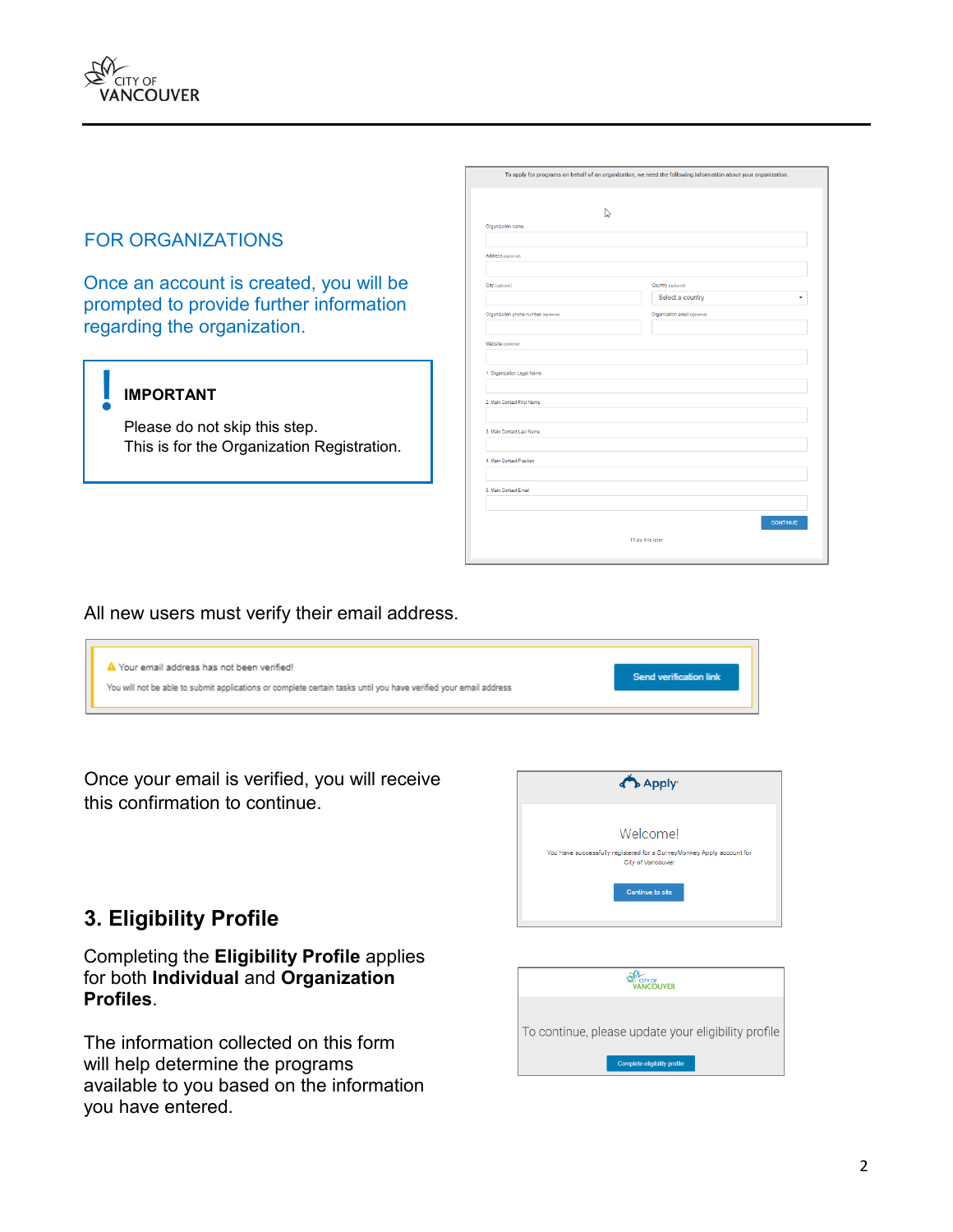### FOR ORGANIZATIONS

Once an account is created, you will be prompted to provide further information regarding the organization.

#### **IMPORTANT**

Please do not skip this step. This is for the Organization Registration.

| To apply for programs on behalf of an organization, we need the following information about your organization. |                               |  |  |  |
|----------------------------------------------------------------------------------------------------------------|-------------------------------|--|--|--|
| ↳<br>Organization name                                                                                         |                               |  |  |  |
|                                                                                                                |                               |  |  |  |
| Address (optional)                                                                                             |                               |  |  |  |
| City (optional)                                                                                                | Country (optional)            |  |  |  |
|                                                                                                                | Select a country              |  |  |  |
| Organization phone number (optional)                                                                           | Organization email (optional) |  |  |  |
| Website (optional)                                                                                             |                               |  |  |  |
| 1. Organization Legal Name                                                                                     |                               |  |  |  |
| 2. Main Contact First Name                                                                                     |                               |  |  |  |
| 3. Main Contact Last Name                                                                                      |                               |  |  |  |
| 4. Main Contact Position                                                                                       |                               |  |  |  |
| 5. Main Contact Email                                                                                          |                               |  |  |  |
|                                                                                                                | <b>CONTINUE</b>               |  |  |  |
|                                                                                                                | I'll do this later            |  |  |  |
|                                                                                                                |                               |  |  |  |

#### All new users must verify their email address.



Once your email is verified, you will receive this confirmation to continue.



### **3. Eligibility Profile**

#### Completing the **Eligibility Profile** applies for both **Individual** and **Organization Profiles**.

The information collected on this form will help determine the programs available to you based on the information you have entered.

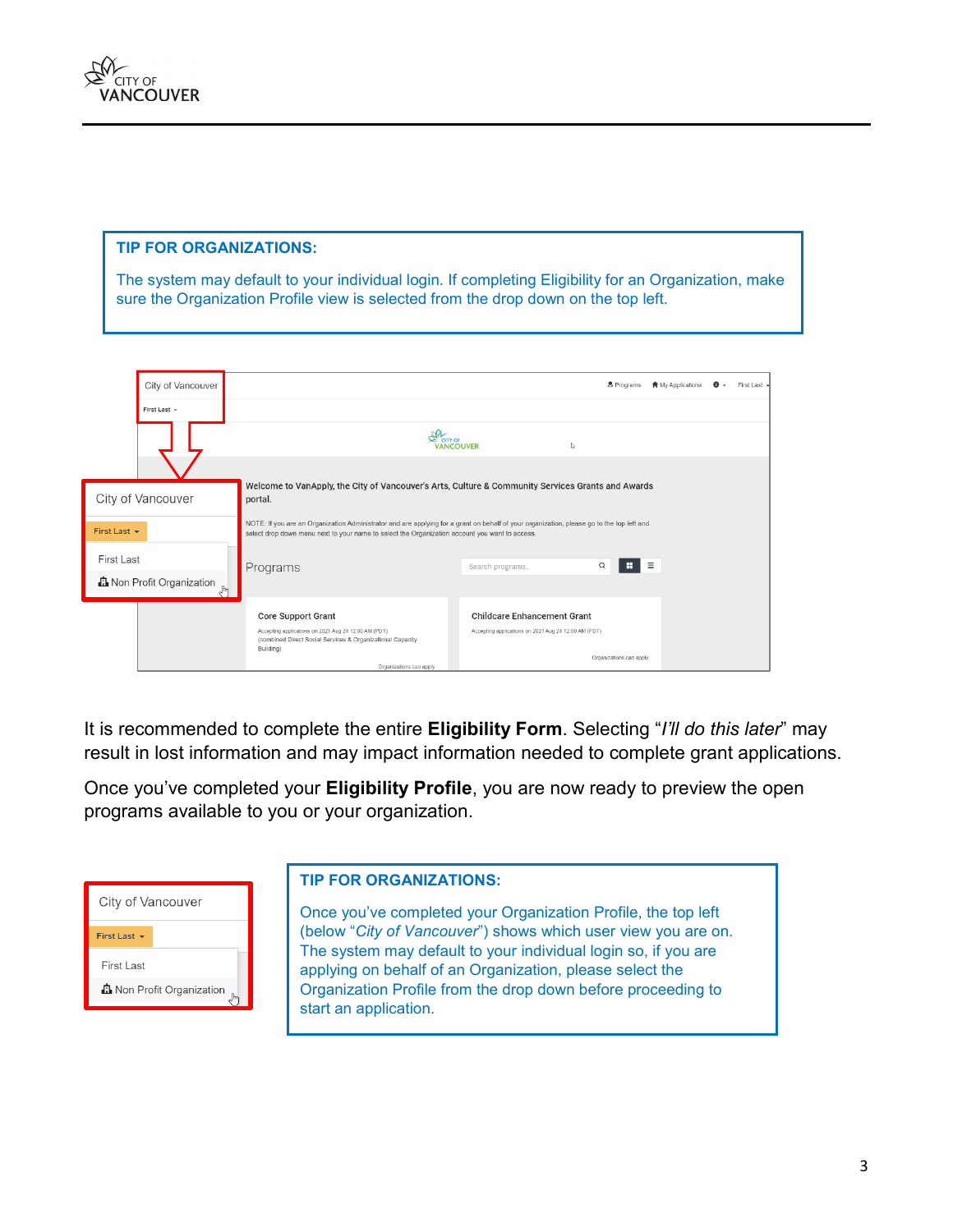

#### **TIP FOR ORGANIZATIONS:**

The system may default to your individual login. If completing Eligibility for an Organization, make sure the Organization Profile view is selected from the drop down on the top left.

| City of Vancouver                                       |                                                                                                                                                                                                                                             |                                                                                            | & Programs               | <b>A</b> My Applications | $\bullet$ - | First Last - |
|---------------------------------------------------------|---------------------------------------------------------------------------------------------------------------------------------------------------------------------------------------------------------------------------------------------|--------------------------------------------------------------------------------------------|--------------------------|--------------------------|-------------|--------------|
| First Last +                                            |                                                                                                                                                                                                                                             |                                                                                            |                          |                          |             |              |
|                                                         |                                                                                                                                                                                                                                             | ် cirr or<br>VANCOUVER<br>I.                                                               |                          |                          |             |              |
| City of Vancouver                                       | Welcome to VanApply, the City of Vancouver's Arts, Culture & Community Services Grants and Awards<br>portal.                                                                                                                                |                                                                                            |                          |                          |             |              |
| First Last $\sim$                                       | NOTE: If you are an Organization Administrator and are applying for a grant on behalf of your organization, please go to the top left and<br>select drop down menu next to your name to select the Organization account you want to access. |                                                                                            |                          |                          |             |              |
| First Last<br><b>D</b> Non Profit Organization<br>$\ln$ | Programs                                                                                                                                                                                                                                    | Search programs                                                                            | н<br>Q                   | $\equiv$                 |             |              |
|                                                         | <b>Core Support Grant</b><br>Accepting applications on 2021 Aug 24 12:00 AM (PDT)<br>(combined Direct Social Services & Organizational Capacity<br>Building)                                                                                | <b>Childcare Enhancement Grant</b><br>Accepting applications on 2021 Aug 24 12:00 AM (PDT) | Organizations can apply. |                          |             |              |
|                                                         | Organizations can apply.                                                                                                                                                                                                                    |                                                                                            |                          |                          |             |              |

It is recommended to complete the entire **Eligibility Form**. Selecting "*I'll do this later*" may result in lost information and may impact information needed to complete grant applications.

Once you've completed your **Eligibility Profile**, you are now ready to preview the open programs available to you or your organization.

| City of Vancouver                |
|----------------------------------|
| First Last +                     |
| First Last                       |
| <b>D</b> Non Profit Organization |

#### **TIP FOR ORGANIZATIONS:**

Once you've completed your Organization Profile, the top left (below "*City of Vancouver*") shows which user view you are on. The system may default to your individual login so, if you are applying on behalf of an Organization, please select the Organization Profile from the drop down before proceeding to start an application.